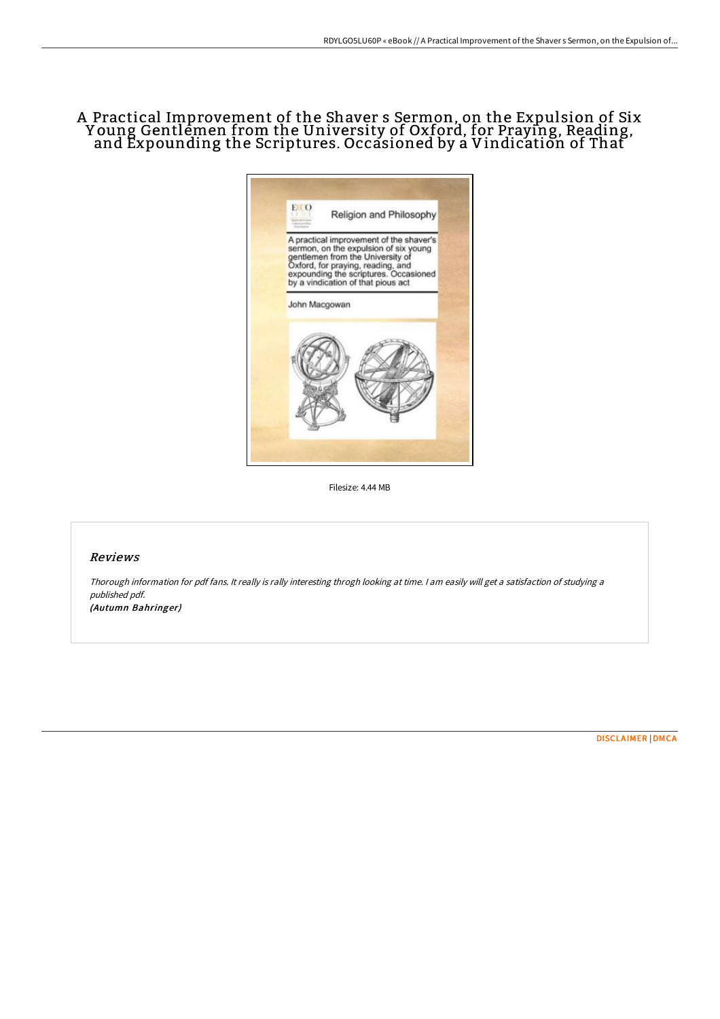# A Practical Improvement of the Shaver s Sermon, on the Expulsion of Six Y oung Gentlemen from the University of Oxford, for Praying, Reading, and Expounding the Scriptures. Occasioned by a Vindication of That



Filesize: 4.44 MB

### Reviews

Thorough information for pdf fans. It really is rally interesting throgh looking at time. <sup>I</sup> am easily will get <sup>a</sup> satisfaction of studying <sup>a</sup> published pdf.

(Autumn Bahringer)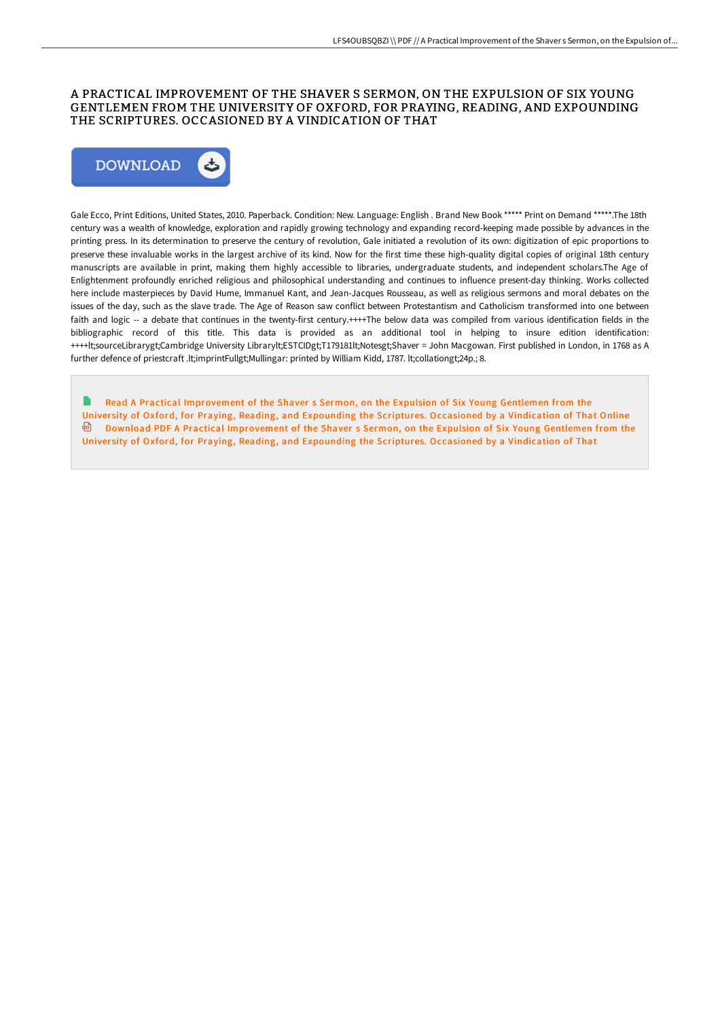### A PRACTICAL IMPROVEMENT OF THE SHAVER S SERMON, ON THE EXPULSION OF SIX YOUNG GENTLEMEN FROM THE UNIVERSITY OF OXFORD, FOR PRAYING, READING, AND EXPOUNDING THE SCRIPTURES. OCCASIONED BY A VINDICATION OF THAT



Gale Ecco, Print Editions, United States, 2010. Paperback. Condition: New. Language: English . Brand New Book \*\*\*\*\* Print on Demand \*\*\*\*\*.The 18th century was a wealth of knowledge, exploration and rapidly growing technology and expanding record-keeping made possible by advances in the printing press. In its determination to preserve the century of revolution, Gale initiated a revolution of its own: digitization of epic proportions to preserve these invaluable works in the largest archive of its kind. Now for the first time these high-quality digital copies of original 18th century manuscripts are available in print, making them highly accessible to libraries, undergraduate students, and independent scholars.The Age of Enlightenment profoundly enriched religious and philosophical understanding and continues to influence present-day thinking. Works collected here include masterpieces by David Hume, Immanuel Kant, and Jean-Jacques Rousseau, as well as religious sermons and moral debates on the issues of the day, such as the slave trade. The Age of Reason saw conflict between Protestantism and Catholicism transformed into one between faith and logic -- a debate that continues in the twenty-first century.++++The below data was compiled from various identification fields in the bibliographic record of this title. This data is provided as an additional tool in helping to insure edition identification: ++++lt;sourceLibrarygt;Cambridge University Librarylt;ESTCIDgt;T179181lt;Notesgt;Shaver = John Macgowan. First published in London, in 1768 as A further defence of priestcraft .lt;imprintFullgt;Mullingar: printed by William Kidd, 1787. lt;collationgt;24p.; 8.

Read A Practical [Improvement](http://albedo.media/a-practical-improvement-of-the-shaver-s-sermon-o.html) of the Shaver s Sermon, on the Expulsion of Six Young Gentlemen from the University of Oxford, for Praying, Reading, and Expounding the Scriptures. Occasioned by a Vindication of That Online Download PDF A Practical [Improvement](http://albedo.media/a-practical-improvement-of-the-shaver-s-sermon-o.html) of the Shaver s Sermon, on the Expulsion of Six Young Gentlemen from the Univer sity of Oxford, for Praying, Reading, and Expounding the Scriptures. Occasioned by a Vindication of That